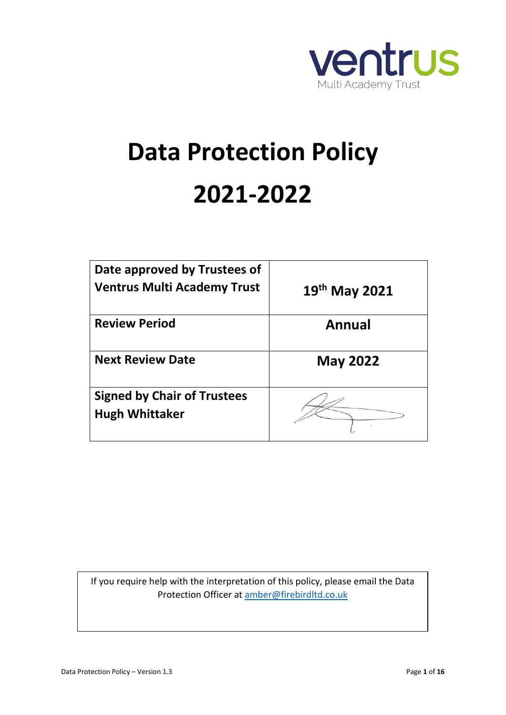

# **Data Protection Policy 2021-2022**

| Date approved by Trustees of<br><b>Ventrus Multi Academy Trust</b> | $19th$ May 2021 |
|--------------------------------------------------------------------|-----------------|
| <b>Review Period</b>                                               | Annual          |
| <b>Next Review Date</b>                                            | <b>May 2022</b> |
| <b>Signed by Chair of Trustees</b><br><b>Hugh Whittaker</b>        |                 |

If you require help with the interpretation of this policy, please email the Data Protection Officer at [amber@firebirdltd.co.uk](mailto:amber@firebirdltd.co.uk)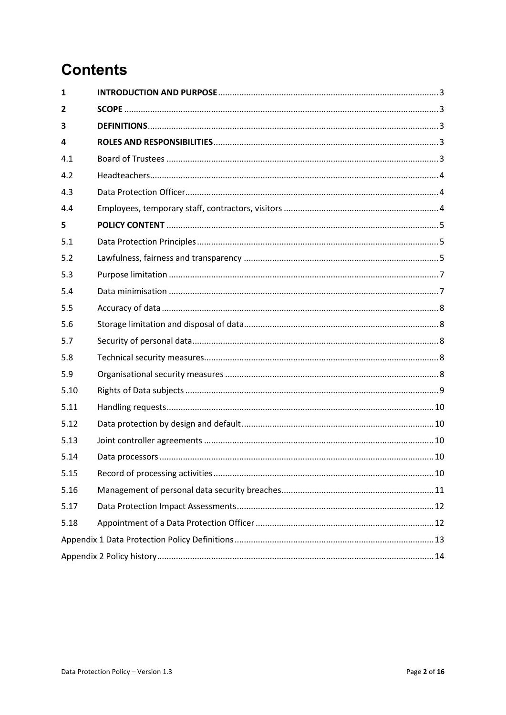## **Contents**

| $\mathbf{1}$ |  |  |
|--------------|--|--|
| 2            |  |  |
| 3            |  |  |
| 4            |  |  |
| 4.1          |  |  |
| 4.2          |  |  |
| 4.3          |  |  |
| 4.4          |  |  |
| 5            |  |  |
| 5.1          |  |  |
| 5.2          |  |  |
| 5.3          |  |  |
| 5.4          |  |  |
| 5.5          |  |  |
| 5.6          |  |  |
| 5.7          |  |  |
| 5.8          |  |  |
| 5.9          |  |  |
| 5.10         |  |  |
| 5.11         |  |  |
| 5.12         |  |  |
| 5.13         |  |  |
| 5.14         |  |  |
| 5.15         |  |  |
| 5.16         |  |  |
| 5.17         |  |  |
| 5.18         |  |  |
|              |  |  |
|              |  |  |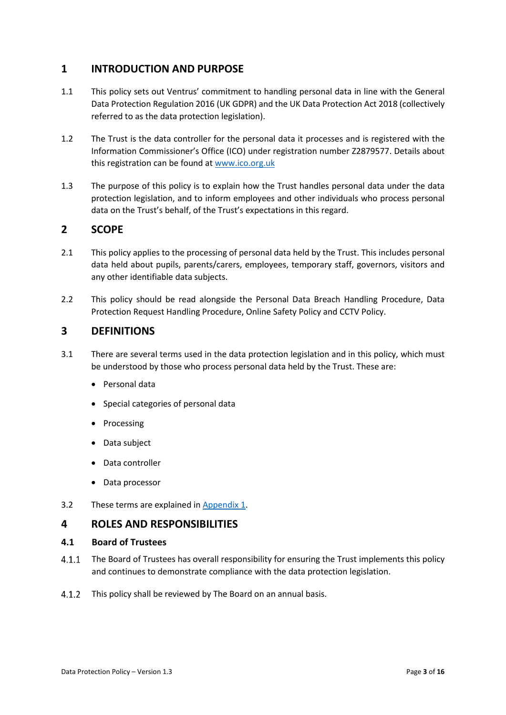#### <span id="page-2-0"></span>**1 INTRODUCTION AND PURPOSE**

- 1.1 This policy sets out Ventrus' commitment to handling personal data in line with the General Data Protection Regulation 2016 (UK GDPR) and the UK Data Protection Act 2018 (collectively referred to as the data protection legislation).
- 1.2 The Trust is the data controller for the personal data it processes and is registered with the Information Commissioner's Office (ICO) under registration number Z2879577. Details about this registration can be found at [www.ico.org.uk](http://www.ico.org.uk/)
- 1.3 The purpose of this policy is to explain how the Trust handles personal data under the data protection legislation, and to inform employees and other individuals who process personal data on the Trust's behalf, of the Trust's expectations in this regard.

#### <span id="page-2-1"></span>**2 SCOPE**

- 2.1 This policy applies to the processing of personal data held by the Trust. This includes personal data held about pupils, parents/carers, employees, temporary staff, governors, visitors and any other identifiable data subjects.
- 2.2 This policy should be read alongside the Personal Data Breach Handling Procedure, Data Protection Request Handling Procedure, Online Safety Policy and CCTV Policy.

#### <span id="page-2-2"></span>**3 DEFINITIONS**

- 3.1 There are several terms used in the data protection legislation and in this policy, which must be understood by those who process personal data held by the Trust. These are:
	- Personal data
	- Special categories of personal data
	- Processing
	- Data subject
	- Data controller
	- Data processor
- 3.2 These terms are explained in Appendix 1.

#### <span id="page-2-3"></span>**4 ROLES AND RESPONSIBILITIES**

#### <span id="page-2-4"></span>**4.1 Board of Trustees**

- $4.1.1$ The Board of Trustees has overall responsibility for ensuring the Trust implements this policy and continues to demonstrate compliance with the data protection legislation.
- $4.1.2$ This policy shall be reviewed by The Board on an annual basis.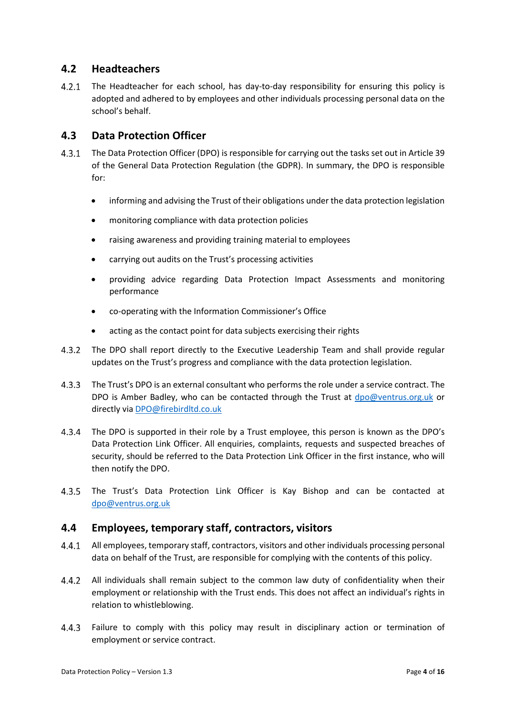#### <span id="page-3-0"></span>**4.2 Headteachers**

 $4.2.1$ The Headteacher for each school, has day-to-day responsibility for ensuring this policy is adopted and adhered to by employees and other individuals processing personal data on the school's behalf.

#### <span id="page-3-1"></span>**4.3 Data Protection Officer**

- $4.3.1$ The Data Protection Officer (DPO) is responsible for carrying out the tasks set out in Article 39 of the General Data Protection Regulation (the GDPR). In summary, the DPO is responsible for:
	- informing and advising the Trust of their obligations under the data protection legislation
	- monitoring compliance with data protection policies
	- raising awareness and providing training material to employees
	- carrying out audits on the Trust's processing activities
	- providing advice regarding Data Protection Impact Assessments and monitoring performance
	- co-operating with the Information Commissioner's Office
	- acting as the contact point for data subjects exercising their rights
- $4.3.2$ The DPO shall report directly to the Executive Leadership Team and shall provide regular updates on the Trust's progress and compliance with the data protection legislation.
- The Trust's DPO is an external consultant who performs the role under a service contract. The DPO is Amber Badley, who can be contacted through the Trust at [dpo@ventrus.org.uk](mailto:dpo@ventrus.org.uk) or directly via [DPO@firebirdltd.co.uk](mailto:DPO@firebirdltd.co.uk)
- $4.3.4$ The DPO is supported in their role by a Trust employee, this person is known as the DPO's Data Protection Link Officer. All enquiries, complaints, requests and suspected breaches of security, should be referred to the Data Protection Link Officer in the first instance, who will then notify the DPO.
- $4.3.5$ The Trust's Data Protection Link Officer is Kay Bishop and can be contacted at [dpo@ventrus.org.uk](mailto:dpo@ventrus.org.uk)

#### <span id="page-3-2"></span>**4.4 Employees, temporary staff, contractors, visitors**

- $4.4.1$ All employees, temporary staff, contractors, visitors and other individuals processing personal data on behalf of the Trust, are responsible for complying with the contents of this policy.
- $4.4.2$ All individuals shall remain subject to the common law duty of confidentiality when their employment or relationship with the Trust ends. This does not affect an individual's rights in relation to whistleblowing.
- Failure to comply with this policy may result in disciplinary action or termination of  $4.4.3$ employment or service contract.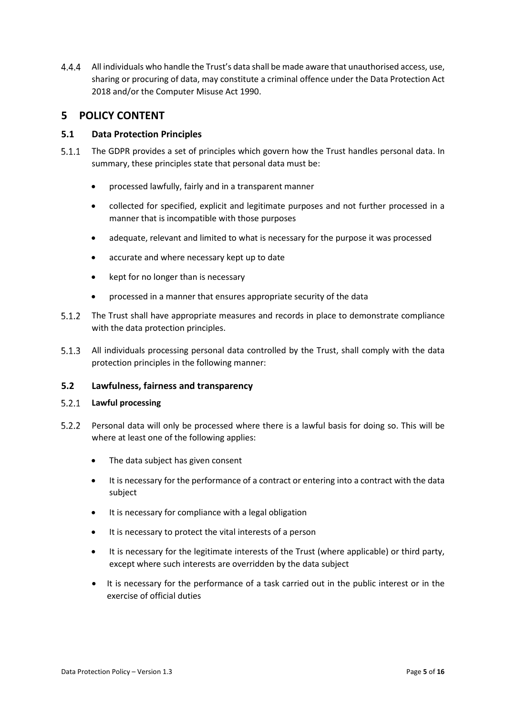$4.4.4$ All individuals who handle the Trust's data shall be made aware that unauthorised access, use, sharing or procuring of data, may constitute a criminal offence under the Data Protection Act 2018 and/or the Computer Misuse Act 1990.

### <span id="page-4-0"></span>**5 POLICY CONTENT**

#### <span id="page-4-1"></span>**5.1 Data Protection Principles**

- 5.1.1 The GDPR provides a set of principles which govern how the Trust handles personal data. In summary, these principles state that personal data must be:
	- processed lawfully, fairly and in a transparent manner
	- collected for specified, explicit and legitimate purposes and not further processed in a manner that is incompatible with those purposes
	- adequate, relevant and limited to what is necessary for the purpose it was processed
	- accurate and where necessary kept up to date
	- kept for no longer than is necessary
	- processed in a manner that ensures appropriate security of the data
- $5.1.2$ The Trust shall have appropriate measures and records in place to demonstrate compliance with the data protection principles.
- All individuals processing personal data controlled by the Trust, shall comply with the data protection principles in the following manner:

#### <span id="page-4-2"></span>**5.2 Lawfulness, fairness and transparency**

#### **Lawful processing**

- $5.2.2$ Personal data will only be processed where there is a lawful basis for doing so. This will be where at least one of the following applies:
	- The data subject has given consent
	- It is necessary for the performance of a contract or entering into a contract with the data subject
	- It is necessary for compliance with a legal obligation
	- It is necessary to protect the vital interests of a person
	- It is necessary for the legitimate interests of the Trust (where applicable) or third party, except where such interests are overridden by the data subject
	- It is necessary for the performance of a task carried out in the public interest or in the exercise of official duties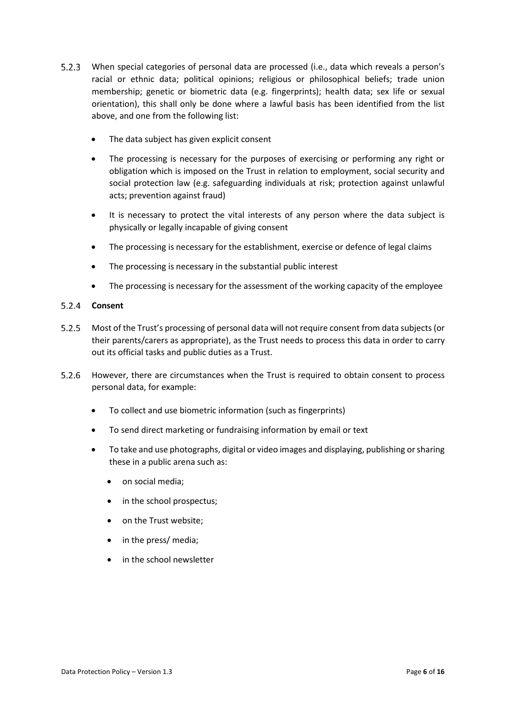- When special categories of personal data are processed (i.e., data which reveals a person's racial or ethnic data; political opinions; religious or philosophical beliefs; trade union membership; genetic or biometric data (e.g. fingerprints); health data; sex life or sexual orientation), this shall only be done where a lawful basis has been identified from the list above, and one from the following list:
	- The data subject has given explicit consent
	- The processing is necessary for the purposes of exercising or performing any right or obligation which is imposed on the Trust in relation to employment, social security and social protection law (e.g. safeguarding individuals at risk; protection against unlawful acts; prevention against fraud)
	- It is necessary to protect the vital interests of any person where the data subject is physically or legally incapable of giving consent
	- The processing is necessary for the establishment, exercise or defence of legal claims
	- The processing is necessary in the substantial public interest
	- The processing is necessary for the assessment of the working capacity of the employee

#### $5.2.4$ **Consent**

- $5.2.5$ Most of the Trust's processing of personal data will not require consent from data subjects (or their parents/carers as appropriate), as the Trust needs to process this data in order to carry out its official tasks and public duties as a Trust.
- $5.2.6$ However, there are circumstances when the Trust is required to obtain consent to process personal data, for example:
	- To collect and use biometric information (such as fingerprints)
	- To send direct marketing or fundraising information by email or text
	- To take and use photographs, digital or video images and displaying, publishing or sharing these in a public arena such as:
		- on social media;
		- in the school prospectus;
		- on the Trust website;
		- in the press/ media;
		- in the school newsletter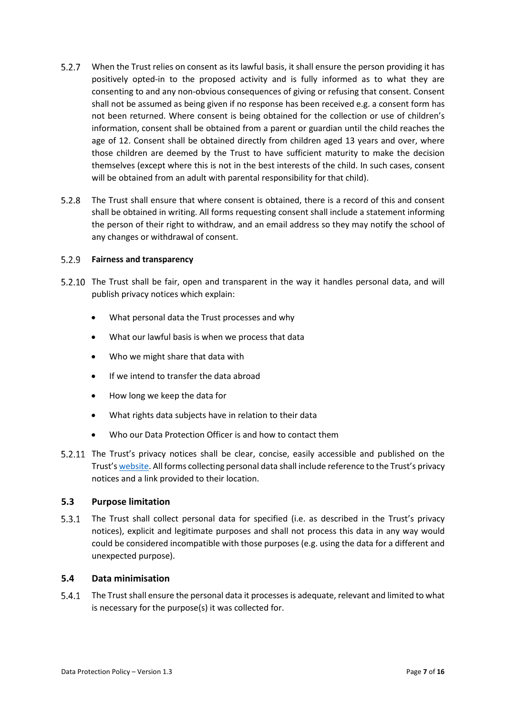- When the Trust relies on consent as its lawful basis, it shall ensure the person providing it has positively opted-in to the proposed activity and is fully informed as to what they are consenting to and any non-obvious consequences of giving or refusing that consent. Consent shall not be assumed as being given if no response has been received e.g. a consent form has not been returned. Where consent is being obtained for the collection or use of children's information, consent shall be obtained from a parent or guardian until the child reaches the age of 12. Consent shall be obtained directly from children aged 13 years and over, where those children are deemed by the Trust to have sufficient maturity to make the decision themselves (except where this is not in the best interests of the child. In such cases, consent will be obtained from an adult with parental responsibility for that child).
- $5.2.8$ The Trust shall ensure that where consent is obtained, there is a record of this and consent shall be obtained in writing. All forms requesting consent shall include a statement informing the person of their right to withdraw, and an email address so they may notify the school of any changes or withdrawal of consent.

#### **Fairness and transparency**

- The Trust shall be fair, open and transparent in the way it handles personal data, and will publish privacy notices which explain:
	- What personal data the Trust processes and why
	- What our lawful basis is when we process that data
	- Who we might share that data with
	- If we intend to transfer the data abroad
	- How long we keep the data for
	- What rights data subjects have in relation to their data
	- Who our Data Protection Officer is and how to contact them
- 5.2.11 The Trust's privacy notices shall be clear, concise, easily accessible and published on the Trust'[s website.](https://www.ventrus.org.uk/our-people/privacy-notices/) All forms collecting personal data shall include reference to the Trust's privacy notices and a link provided to their location.

#### <span id="page-6-0"></span>**5.3 Purpose limitation**

 $5.3.1$ The Trust shall collect personal data for specified (i.e. as described in the Trust's privacy notices), explicit and legitimate purposes and shall not process this data in any way would could be considered incompatible with those purposes (e.g. using the data for a different and unexpected purpose).

#### <span id="page-6-1"></span>**5.4 Data minimisation**

 $5.4.1$ The Trust shall ensure the personal data it processes is adequate, relevant and limited to what is necessary for the purpose(s) it was collected for.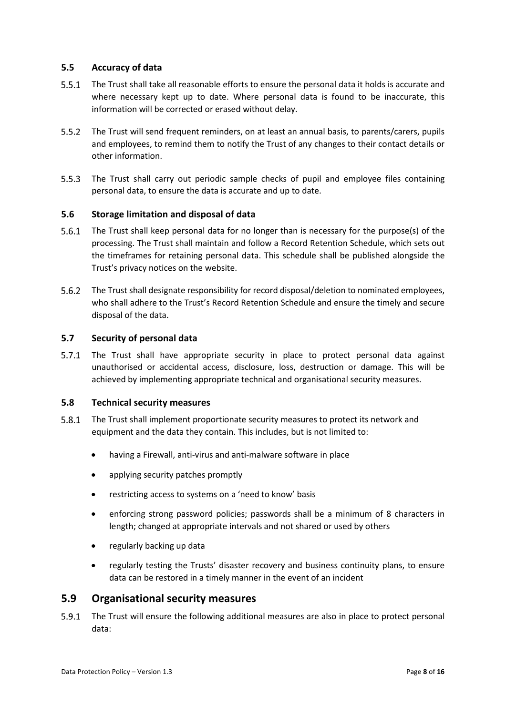#### <span id="page-7-0"></span>**5.5 Accuracy of data**

- The Trust shall take all reasonable efforts to ensure the personal data it holds is accurate and where necessary kept up to date. Where personal data is found to be inaccurate, this information will be corrected or erased without delay.
- $5.5.2$ The Trust will send frequent reminders, on at least an annual basis, to parents/carers, pupils and employees, to remind them to notify the Trust of any changes to their contact details or other information.
- 5.5.3 The Trust shall carry out periodic sample checks of pupil and employee files containing personal data, to ensure the data is accurate and up to date.

#### <span id="page-7-1"></span>**5.6 Storage limitation and disposal of data**

- $5.6.1$ The Trust shall keep personal data for no longer than is necessary for the purpose(s) of the processing. The Trust shall maintain and follow a Record Retention Schedule, which sets out the timeframes for retaining personal data. This schedule shall be published alongside the Trust's privacy notices on the website.
- $5.6.2$ The Trust shall designate responsibility for record disposal/deletion to nominated employees, who shall adhere to the Trust's Record Retention Schedule and ensure the timely and secure disposal of the data.

#### <span id="page-7-2"></span>**5.7 Security of personal data**

 $5.7.1$ The Trust shall have appropriate security in place to protect personal data against unauthorised or accidental access, disclosure, loss, destruction or damage. This will be achieved by implementing appropriate technical and organisational security measures.

#### <span id="page-7-3"></span>**5.8 Technical security measures**

- $5.8.1$ The Trust shall implement proportionate security measures to protect its network and equipment and the data they contain. This includes, but is not limited to:
	- having a Firewall, anti-virus and anti-malware software in place
	- applying security patches promptly
	- restricting access to systems on a 'need to know' basis
	- enforcing strong password policies; passwords shall be a minimum of 8 characters in length; changed at appropriate intervals and not shared or used by others
	- regularly backing up data
	- regularly testing the Trusts' disaster recovery and business continuity plans, to ensure data can be restored in a timely manner in the event of an incident

#### <span id="page-7-4"></span>**5.9 Organisational security measures**

 $5.9.1$ The Trust will ensure the following additional measures are also in place to protect personal data: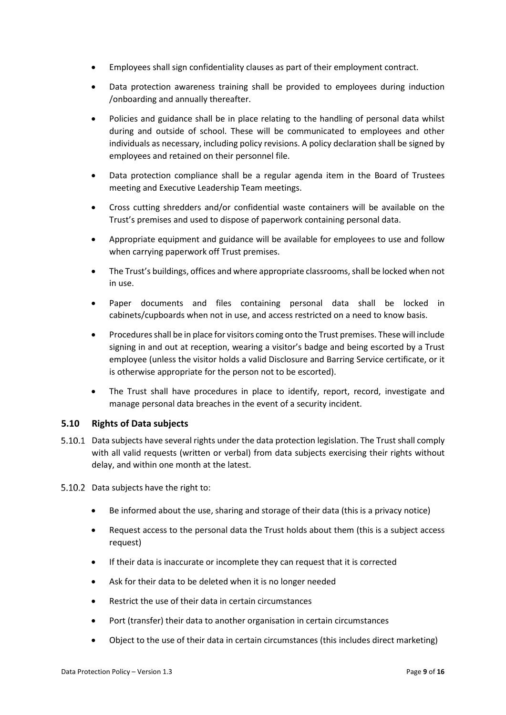- Employees shall sign confidentiality clauses as part of their employment contract.
- Data protection awareness training shall be provided to employees during induction /onboarding and annually thereafter.
- Policies and guidance shall be in place relating to the handling of personal data whilst during and outside of school. These will be communicated to employees and other individuals as necessary, including policy revisions. A policy declaration shall be signed by employees and retained on their personnel file.
- Data protection compliance shall be a regular agenda item in the Board of Trustees meeting and Executive Leadership Team meetings.
- Cross cutting shredders and/or confidential waste containers will be available on the Trust's premises and used to dispose of paperwork containing personal data.
- Appropriate equipment and guidance will be available for employees to use and follow when carrying paperwork off Trust premises.
- The Trust's buildings, offices and where appropriate classrooms,shall be locked when not in use.
- Paper documents and files containing personal data shall be locked in cabinets/cupboards when not in use, and access restricted on a need to know basis.
- Procedures shall be in place for visitors coming onto the Trust premises. These will include signing in and out at reception, wearing a visitor's badge and being escorted by a Trust employee (unless the visitor holds a valid Disclosure and Barring Service certificate, or it is otherwise appropriate for the person not to be escorted).
- The Trust shall have procedures in place to identify, report, record, investigate and manage personal data breaches in the event of a security incident.

#### <span id="page-8-0"></span>**5.10 Rights of Data subjects**

- 5.10.1 Data subjects have several rights under the data protection legislation. The Trust shall comply with all valid requests (written or verbal) from data subjects exercising their rights without delay, and within one month at the latest.
- 5.10.2 Data subjects have the right to:
	- Be informed about the use, sharing and storage of their data (this is a privacy notice)
	- Request access to the personal data the Trust holds about them (this is a subject access request)
	- If their data is inaccurate or incomplete they can request that it is corrected
	- Ask for their data to be deleted when it is no longer needed
	- Restrict the use of their data in certain circumstances
	- Port (transfer) their data to another organisation in certain circumstances
	- Object to the use of their data in certain circumstances (this includes direct marketing)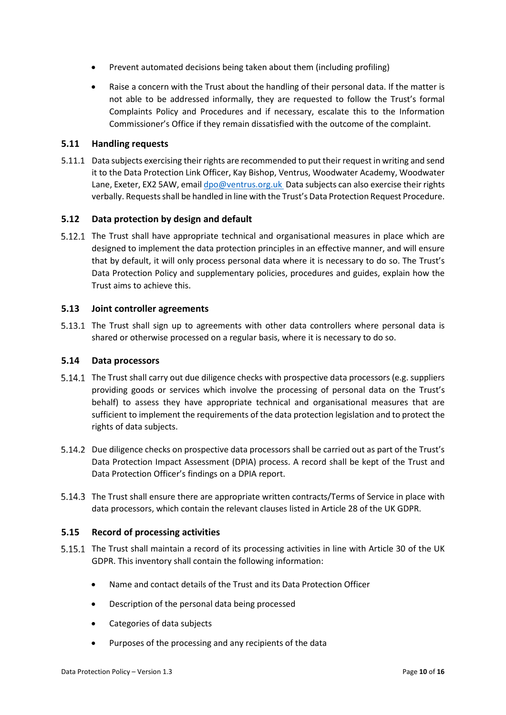- Prevent automated decisions being taken about them (including profiling)
- Raise a concern with the Trust about the handling of their personal data. If the matter is not able to be addressed informally, they are requested to follow the Trust's formal Complaints Policy and Procedures and if necessary, escalate this to the Information Commissioner's Office if they remain dissatisfied with the outcome of the complaint.

#### <span id="page-9-0"></span>**5.11 Handling requests**

5.11.1 Data subjects exercising their rights are recommended to put their request in writing and send it to the Data Protection Link Officer, Kay Bishop, Ventrus, Woodwater Academy, Woodwater Lane, Exeter, EX2 5AW, emai[l dpo@ventrus.org.uk](mailto:dpo@ventrus.org.uk) Data subjects can also exercise their rights verbally. Requestsshall be handled in line with the Trust's Data Protection Request Procedure.

#### <span id="page-9-1"></span>**5.12 Data protection by design and default**

5.12.1 The Trust shall have appropriate technical and organisational measures in place which are designed to implement the data protection principles in an effective manner, and will ensure that by default, it will only process personal data where it is necessary to do so. The Trust's Data Protection Policy and supplementary policies, procedures and guides, explain how the Trust aims to achieve this.

#### <span id="page-9-2"></span>**5.13 Joint controller agreements**

5.13.1 The Trust shall sign up to agreements with other data controllers where personal data is shared or otherwise processed on a regular basis, where it is necessary to do so.

#### <span id="page-9-3"></span>**5.14 Data processors**

- 5.14.1 The Trust shall carry out due diligence checks with prospective data processors (e.g. suppliers providing goods or services which involve the processing of personal data on the Trust's behalf) to assess they have appropriate technical and organisational measures that are sufficient to implement the requirements of the data protection legislation and to protect the rights of data subjects.
- 5.14.2 Due diligence checks on prospective data processors shall be carried out as part of the Trust's Data Protection Impact Assessment (DPIA) process. A record shall be kept of the Trust and Data Protection Officer's findings on a DPIA report.
- 5.14.3 The Trust shall ensure there are appropriate written contracts/Terms of Service in place with data processors, which contain the relevant clauses listed in Article 28 of the UK GDPR.

#### <span id="page-9-4"></span>**5.15 Record of processing activities**

- 5.15.1 The Trust shall maintain a record of its processing activities in line with Article 30 of the UK GDPR. This inventory shall contain the following information:
	- Name and contact details of the Trust and its Data Protection Officer
	- Description of the personal data being processed
	- Categories of data subjects
	- Purposes of the processing and any recipients of the data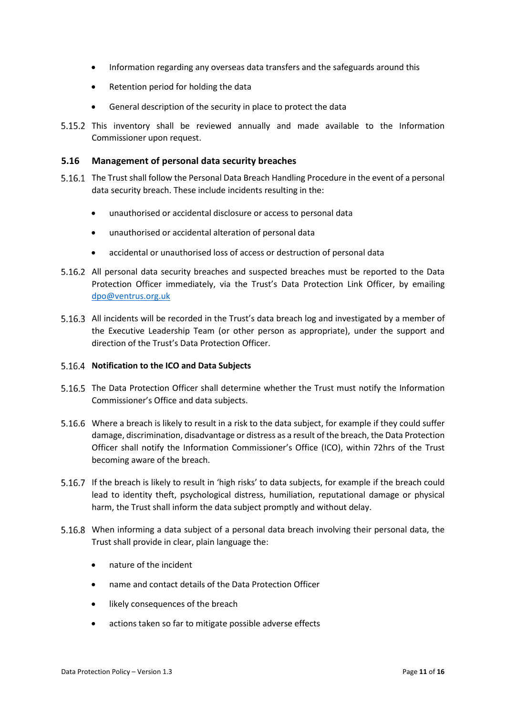- Information regarding any overseas data transfers and the safeguards around this
- Retention period for holding the data
- General description of the security in place to protect the data
- This inventory shall be reviewed annually and made available to the Information Commissioner upon request.

#### <span id="page-10-0"></span>**5.16 Management of personal data security breaches**

- The Trust shall follow the Personal Data Breach Handling Procedure in the event of a personal data security breach. These include incidents resulting in the:
	- unauthorised or accidental disclosure or access to personal data
	- unauthorised or accidental alteration of personal data
	- accidental or unauthorised loss of access or destruction of personal data
- 5.16.2 All personal data security breaches and suspected breaches must be reported to the Data Protection Officer immediately, via the Trust's Data Protection Link Officer, by emailing [dpo@ventrus.org.uk](mailto:dpo@ventrus.org.uk)
- 5.16.3 All incidents will be recorded in the Trust's data breach log and investigated by a member of the Executive Leadership Team (or other person as appropriate), under the support and direction of the Trust's Data Protection Officer.

#### **Notification to the ICO and Data Subjects**

- 5.16.5 The Data Protection Officer shall determine whether the Trust must notify the Information Commissioner's Office and data subjects.
- Where a breach is likely to result in a risk to the data subject, for example if they could suffer damage, discrimination, disadvantage or distress as a result of the breach, the Data Protection Officer shall notify the Information Commissioner's Office (ICO), within 72hrs of the Trust becoming aware of the breach.
- If the breach is likely to result in 'high risks' to data subjects, for example if the breach could lead to identity theft, psychological distress, humiliation, reputational damage or physical harm, the Trust shall inform the data subject promptly and without delay.
- When informing a data subject of a personal data breach involving their personal data, the Trust shall provide in clear, plain language the:
	- nature of the incident
	- name and contact details of the Data Protection Officer
	- likely consequences of the breach
	- actions taken so far to mitigate possible adverse effects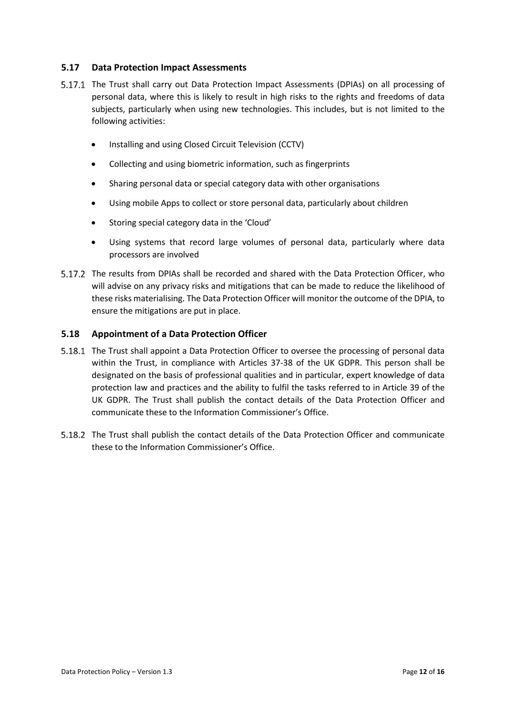#### <span id="page-11-0"></span>**5.17 Data Protection Impact Assessments**

- 5.17.1 The Trust shall carry out Data Protection Impact Assessments (DPIAs) on all processing of personal data, where this is likely to result in high risks to the rights and freedoms of data subjects, particularly when using new technologies. This includes, but is not limited to the following activities:
	- Installing and using Closed Circuit Television (CCTV)
	- Collecting and using biometric information, such as fingerprints
	- Sharing personal data or special category data with other organisations
	- Using mobile Apps to collect or store personal data, particularly about children
	- Storing special category data in the 'Cloud'
	- Using systems that record large volumes of personal data, particularly where data processors are involved
- 5.17.2 The results from DPIAs shall be recorded and shared with the Data Protection Officer, who will advise on any privacy risks and mitigations that can be made to reduce the likelihood of these risks materialising. The Data Protection Officer will monitor the outcome of the DPIA, to ensure the mitigations are put in place.

#### <span id="page-11-1"></span>**5.18 Appointment of a Data Protection Officer**

- 5.18.1 The Trust shall appoint a Data Protection Officer to oversee the processing of personal data within the Trust, in compliance with Articles 37-38 of the UK GDPR. This person shall be designated on the basis of professional qualities and in particular, expert knowledge of data protection law and practices and the ability to fulfil the tasks referred to in Article 39 of the UK GDPR. The Trust shall publish the contact details of the Data Protection Officer and communicate these to the Information Commissioner's Office.
- 5.18.2 The Trust shall publish the contact details of the Data Protection Officer and communicate these to the Information Commissioner's Office.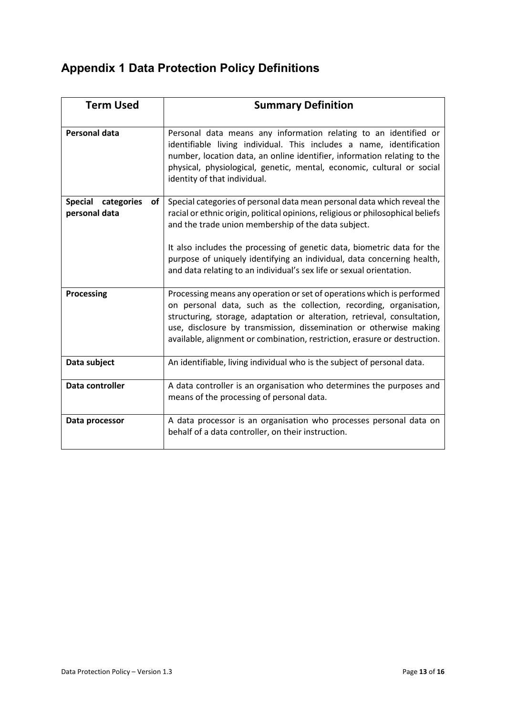## <span id="page-12-0"></span>**Appendix 1 Data Protection Policy Definitions**

| <b>Term Used</b>                                    | <b>Summary Definition</b>                                                                                                                                                                                                                                                                                                                                                   |
|-----------------------------------------------------|-----------------------------------------------------------------------------------------------------------------------------------------------------------------------------------------------------------------------------------------------------------------------------------------------------------------------------------------------------------------------------|
| <b>Personal data</b>                                | Personal data means any information relating to an identified or<br>identifiable living individual. This includes a name, identification<br>number, location data, an online identifier, information relating to the<br>physical, physiological, genetic, mental, economic, cultural or social<br>identity of that individual.                                              |
| <b>Special</b><br>categories<br>of<br>personal data | Special categories of personal data mean personal data which reveal the<br>racial or ethnic origin, political opinions, religious or philosophical beliefs<br>and the trade union membership of the data subject.                                                                                                                                                           |
|                                                     | It also includes the processing of genetic data, biometric data for the<br>purpose of uniquely identifying an individual, data concerning health,<br>and data relating to an individual's sex life or sexual orientation.                                                                                                                                                   |
| <b>Processing</b>                                   | Processing means any operation or set of operations which is performed<br>on personal data, such as the collection, recording, organisation,<br>structuring, storage, adaptation or alteration, retrieval, consultation,<br>use, disclosure by transmission, dissemination or otherwise making<br>available, alignment or combination, restriction, erasure or destruction. |
| Data subject                                        | An identifiable, living individual who is the subject of personal data.                                                                                                                                                                                                                                                                                                     |
| Data controller                                     | A data controller is an organisation who determines the purposes and<br>means of the processing of personal data.                                                                                                                                                                                                                                                           |
| Data processor                                      | A data processor is an organisation who processes personal data on<br>behalf of a data controller, on their instruction.                                                                                                                                                                                                                                                    |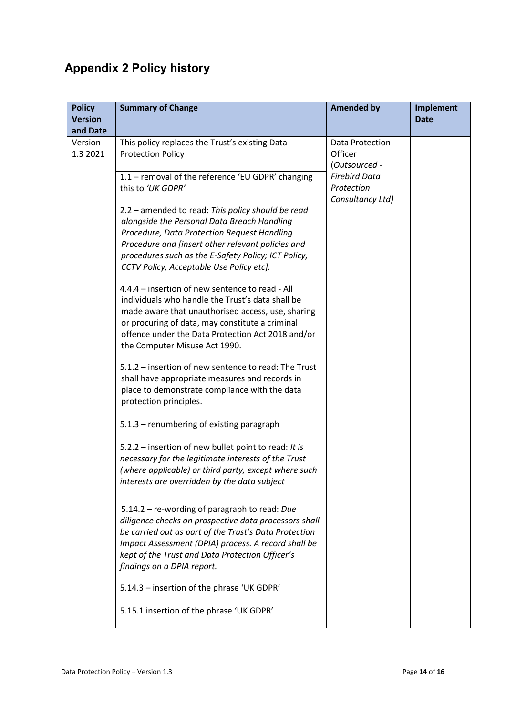## <span id="page-13-0"></span>**Appendix 2 Policy history**

| <b>Policy</b><br><b>Version</b> | <b>Summary of Change</b>                                                                                                                                                                                                                                                                                | <b>Amended by</b>                                      | <b>Implement</b><br><b>Date</b> |
|---------------------------------|---------------------------------------------------------------------------------------------------------------------------------------------------------------------------------------------------------------------------------------------------------------------------------------------------------|--------------------------------------------------------|---------------------------------|
| and Date                        |                                                                                                                                                                                                                                                                                                         |                                                        |                                 |
| Version<br>1.3 2021             | This policy replaces the Trust's existing Data<br><b>Protection Policy</b>                                                                                                                                                                                                                              | Data Protection<br>Officer<br>(Outsourced -            |                                 |
|                                 | 1.1 - removal of the reference 'EU GDPR' changing<br>this to 'UK GDPR'                                                                                                                                                                                                                                  | <b>Firebird Data</b><br>Protection<br>Consultancy Ltd) |                                 |
|                                 | 2.2 – amended to read: This policy should be read<br>alongside the Personal Data Breach Handling<br>Procedure, Data Protection Request Handling<br>Procedure and [insert other relevant policies and<br>procedures such as the E-Safety Policy; ICT Policy,<br>CCTV Policy, Acceptable Use Policy etc]. |                                                        |                                 |
|                                 | 4.4.4 – insertion of new sentence to read - All<br>individuals who handle the Trust's data shall be<br>made aware that unauthorised access, use, sharing<br>or procuring of data, may constitute a criminal<br>offence under the Data Protection Act 2018 and/or<br>the Computer Misuse Act 1990.       |                                                        |                                 |
|                                 | 5.1.2 - insertion of new sentence to read: The Trust<br>shall have appropriate measures and records in<br>place to demonstrate compliance with the data<br>protection principles.                                                                                                                       |                                                        |                                 |
|                                 | 5.1.3 - renumbering of existing paragraph                                                                                                                                                                                                                                                               |                                                        |                                 |
|                                 | 5.2.2 – insertion of new bullet point to read: It is<br>necessary for the legitimate interests of the Trust<br>(where applicable) or third party, except where such<br>interests are overridden by the data subject                                                                                     |                                                        |                                 |
|                                 | 5.14.2 - re-wording of paragraph to read: Due<br>diligence checks on prospective data processors shall<br>be carried out as part of the Trust's Data Protection<br>Impact Assessment (DPIA) process. A record shall be<br>kept of the Trust and Data Protection Officer's<br>findings on a DPIA report. |                                                        |                                 |
|                                 | 5.14.3 - insertion of the phrase 'UK GDPR'                                                                                                                                                                                                                                                              |                                                        |                                 |
|                                 | 5.15.1 insertion of the phrase 'UK GDPR'                                                                                                                                                                                                                                                                |                                                        |                                 |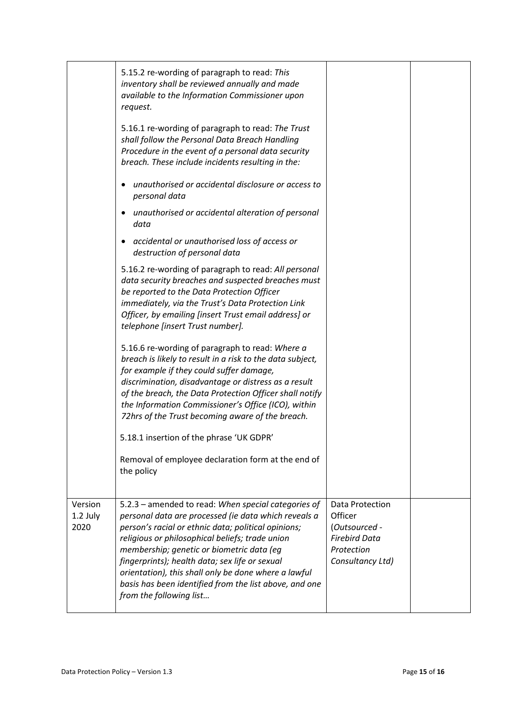|                             | 5.15.2 re-wording of paragraph to read: This<br>inventory shall be reviewed annually and made<br>available to the Information Commissioner upon<br>request.                                                                                                                                                                                                                                                                                                       |                                                                                                       |  |
|-----------------------------|-------------------------------------------------------------------------------------------------------------------------------------------------------------------------------------------------------------------------------------------------------------------------------------------------------------------------------------------------------------------------------------------------------------------------------------------------------------------|-------------------------------------------------------------------------------------------------------|--|
|                             | 5.16.1 re-wording of paragraph to read: The Trust<br>shall follow the Personal Data Breach Handling<br>Procedure in the event of a personal data security<br>breach. These include incidents resulting in the:                                                                                                                                                                                                                                                    |                                                                                                       |  |
|                             | unauthorised or accidental disclosure or access to<br>personal data                                                                                                                                                                                                                                                                                                                                                                                               |                                                                                                       |  |
|                             | unauthorised or accidental alteration of personal<br>٠<br>data                                                                                                                                                                                                                                                                                                                                                                                                    |                                                                                                       |  |
|                             | accidental or unauthorised loss of access or<br>$\bullet$<br>destruction of personal data                                                                                                                                                                                                                                                                                                                                                                         |                                                                                                       |  |
|                             | 5.16.2 re-wording of paragraph to read: All personal<br>data security breaches and suspected breaches must<br>be reported to the Data Protection Officer<br>immediately, via the Trust's Data Protection Link<br>Officer, by emailing [insert Trust email address] or<br>telephone [insert Trust number].                                                                                                                                                         |                                                                                                       |  |
|                             | 5.16.6 re-wording of paragraph to read: Where a<br>breach is likely to result in a risk to the data subject,<br>for example if they could suffer damage,<br>discrimination, disadvantage or distress as a result<br>of the breach, the Data Protection Officer shall notify<br>the Information Commissioner's Office (ICO), within<br>72hrs of the Trust becoming aware of the breach.                                                                            |                                                                                                       |  |
|                             | 5.18.1 insertion of the phrase 'UK GDPR'                                                                                                                                                                                                                                                                                                                                                                                                                          |                                                                                                       |  |
|                             | Removal of employee declaration form at the end of<br>the policy                                                                                                                                                                                                                                                                                                                                                                                                  |                                                                                                       |  |
| Version<br>1.2 July<br>2020 | 5.2.3 - amended to read: When special categories of<br>personal data are processed (ie data which reveals a<br>person's racial or ethnic data; political opinions;<br>religious or philosophical beliefs; trade union<br>membership; genetic or biometric data (eq<br>fingerprints); health data; sex life or sexual<br>orientation), this shall only be done where a lawful<br>basis has been identified from the list above, and one<br>from the following list | Data Protection<br>Officer<br>(Outsourced -<br><b>Firebird Data</b><br>Protection<br>Consultancy Ltd) |  |